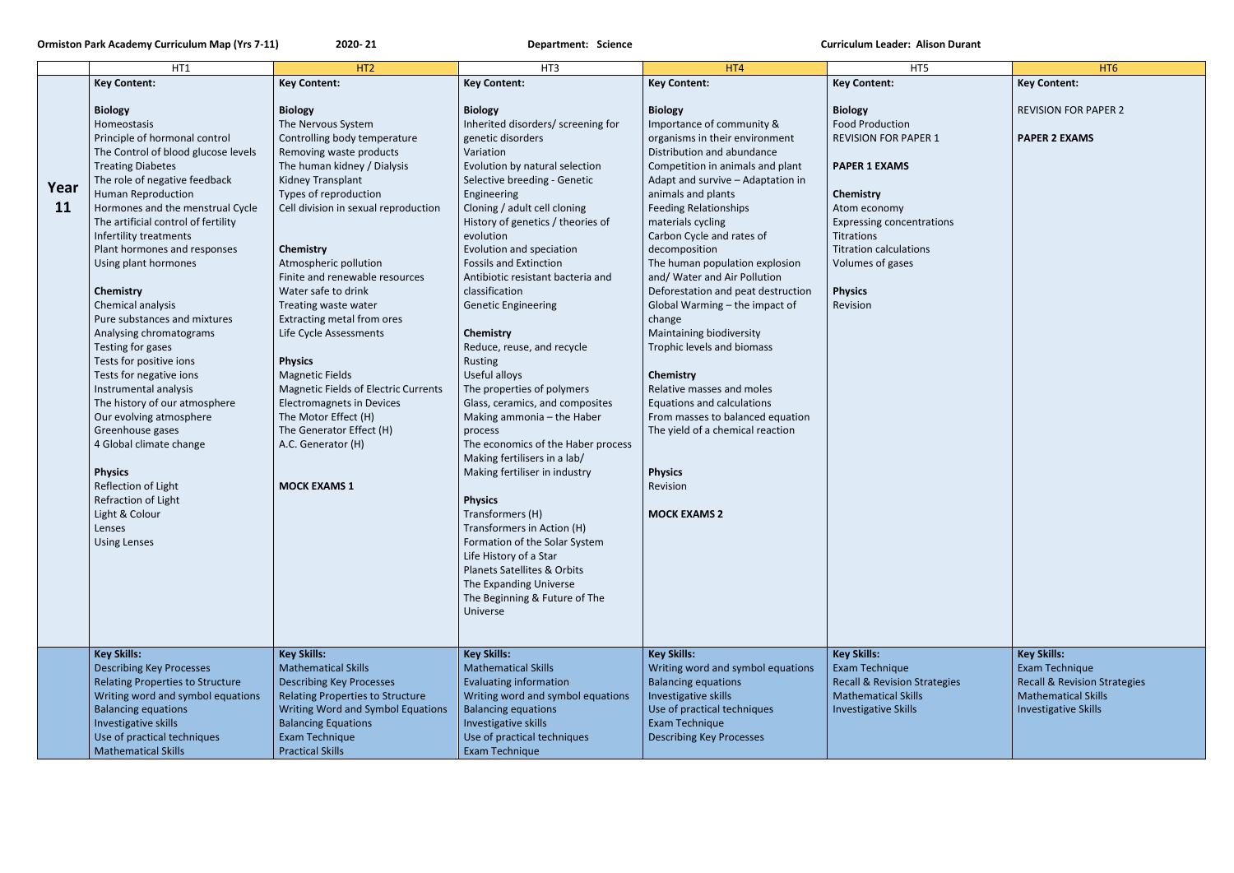|           | HT1                                     | HT <sub>2</sub>                             | HT3                                                              | HT4                                | HT5                                     | HT <sub>6</sub>                         |
|-----------|-----------------------------------------|---------------------------------------------|------------------------------------------------------------------|------------------------------------|-----------------------------------------|-----------------------------------------|
|           | <b>Key Content:</b>                     | <b>Key Content:</b>                         | <b>Key Content:</b>                                              | <b>Key Content:</b>                | <b>Key Content:</b>                     | <b>Key Content:</b>                     |
|           |                                         |                                             |                                                                  |                                    |                                         |                                         |
|           | <b>Biology</b>                          | <b>Biology</b>                              | <b>Biology</b>                                                   | <b>Biology</b>                     | <b>Biology</b>                          | <b>REVISION FOR PAPER 2</b>             |
|           | Homeostasis                             | The Nervous System                          | Inherited disorders/ screening for                               | Importance of community &          | <b>Food Production</b>                  |                                         |
|           | Principle of hormonal control           | Controlling body temperature                | genetic disorders                                                | organisms in their environment     | <b>REVISION FOR PAPER 1</b>             | <b>PAPER 2 EXAMS</b>                    |
|           | The Control of blood glucose levels     | Removing waste products                     | Variation                                                        | Distribution and abundance         |                                         |                                         |
|           | <b>Treating Diabetes</b>                | The human kidney / Dialysis                 | Evolution by natural selection                                   | Competition in animals and plant   | <b>PAPER 1 EXAMS</b>                    |                                         |
|           | The role of negative feedback           | Kidney Transplant                           | Selective breeding - Genetic                                     | Adapt and survive - Adaptation in  |                                         |                                         |
| Year      | <b>Human Reproduction</b>               | Types of reproduction                       | Engineering                                                      | animals and plants                 | <b>Chemistry</b>                        |                                         |
| <b>11</b> | Hormones and the menstrual Cycle        | Cell division in sexual reproduction        | Cloning / adult cell cloning                                     | <b>Feeding Relationships</b>       | Atom economy                            |                                         |
|           | The artificial control of fertility     |                                             | History of genetics / theories of                                | materials cycling                  | <b>Expressing concentrations</b>        |                                         |
|           | Infertility treatments                  |                                             | evolution                                                        | Carbon Cycle and rates of          | Titrations                              |                                         |
|           | Plant hormones and responses            | Chemistry                                   | Evolution and speciation                                         | decomposition                      | <b>Titration calculations</b>           |                                         |
|           | Using plant hormones                    | Atmospheric pollution                       | <b>Fossils and Extinction</b>                                    | The human population explosion     | Volumes of gases                        |                                         |
|           |                                         | Finite and renewable resources              | Antibiotic resistant bacteria and                                | and/ Water and Air Pollution       |                                         |                                         |
|           | Chemistry                               | Water safe to drink                         | classification                                                   | Deforestation and peat destruction | <b>Physics</b>                          |                                         |
|           | Chemical analysis                       | Treating waste water                        | <b>Genetic Engineering</b>                                       | Global Warming - the impact of     | Revision                                |                                         |
|           | Pure substances and mixtures            | Extracting metal from ores                  |                                                                  | change                             |                                         |                                         |
|           | Analysing chromatograms                 | Life Cycle Assessments                      | Chemistry                                                        | Maintaining biodiversity           |                                         |                                         |
|           | Testing for gases                       |                                             | Reduce, reuse, and recycle                                       | Trophic levels and biomass         |                                         |                                         |
|           | Tests for positive ions                 | <b>Physics</b>                              | Rusting                                                          |                                    |                                         |                                         |
|           | Tests for negative ions                 | <b>Magnetic Fields</b>                      | Useful alloys                                                    | Chemistry                          |                                         |                                         |
|           | Instrumental analysis                   | <b>Magnetic Fields of Electric Currents</b> | The properties of polymers                                       | Relative masses and moles          |                                         |                                         |
|           | The history of our atmosphere           | <b>Electromagnets in Devices</b>            | Glass, ceramics, and composites                                  | <b>Equations and calculations</b>  |                                         |                                         |
|           | Our evolving atmosphere                 | The Motor Effect (H)                        | Making ammonia - the Haber                                       | From masses to balanced equation   |                                         |                                         |
|           | Greenhouse gases                        | The Generator Effect (H)                    | process                                                          | The yield of a chemical reaction   |                                         |                                         |
|           | 4 Global climate change                 | A.C. Generator (H)                          | The economics of the Haber process                               |                                    |                                         |                                         |
|           |                                         |                                             | Making fertilisers in a lab/                                     |                                    |                                         |                                         |
|           | <b>Physics</b>                          |                                             | Making fertiliser in industry                                    | <b>Physics</b>                     |                                         |                                         |
|           | Reflection of Light                     | <b>MOCK EXAMS 1</b>                         |                                                                  | Revision                           |                                         |                                         |
|           | Refraction of Light                     |                                             | <b>Physics</b>                                                   |                                    |                                         |                                         |
|           | Light & Colour                          |                                             | Transformers (H)                                                 | <b>MOCK EXAMS 2</b>                |                                         |                                         |
|           | Lenses                                  |                                             | Transformers in Action (H)                                       |                                    |                                         |                                         |
|           | <b>Using Lenses</b>                     |                                             | Formation of the Solar System                                    |                                    |                                         |                                         |
|           |                                         |                                             | Life History of a Star<br><b>Planets Satellites &amp; Orbits</b> |                                    |                                         |                                         |
|           |                                         |                                             |                                                                  |                                    |                                         |                                         |
|           |                                         |                                             | The Expanding Universe                                           |                                    |                                         |                                         |
|           |                                         |                                             | The Beginning & Future of The                                    |                                    |                                         |                                         |
|           |                                         |                                             | Universe                                                         |                                    |                                         |                                         |
|           |                                         |                                             |                                                                  |                                    |                                         |                                         |
|           | <b>Key Skills:</b>                      | <b>Key Skills:</b>                          | <b>Key Skills:</b>                                               | <b>Key Skills:</b>                 | <b>Key Skills:</b>                      | <b>Key Skills:</b>                      |
|           | <b>Describing Key Processes</b>         | <b>Mathematical Skills</b>                  | <b>Mathematical Skills</b>                                       | Writing word and symbol equations  | Exam Technique                          | Exam Technique                          |
|           | <b>Relating Properties to Structure</b> | <b>Describing Key Processes</b>             | <b>Evaluating information</b>                                    | <b>Balancing equations</b>         | <b>Recall &amp; Revision Strategies</b> | <b>Recall &amp; Revision Strategies</b> |
|           | Writing word and symbol equations       | <b>Relating Properties to Structure</b>     | Writing word and symbol equations                                | Investigative skills               | <b>Mathematical Skills</b>              | <b>Mathematical Skills</b>              |
|           | <b>Balancing equations</b>              | Writing Word and Symbol Equations           | <b>Balancing equations</b>                                       | Use of practical techniques        | <b>Investigative Skills</b>             | <b>Investigative Skills</b>             |
|           | Investigative skills                    | <b>Balancing Equations</b>                  | Investigative skills                                             | Exam Technique                     |                                         |                                         |
|           | Use of practical techniques             | Exam Technique                              | Use of practical techniques                                      | <b>Describing Key Processes</b>    |                                         |                                         |
|           | <b>Mathematical Skills</b>              | <b>Practical Skills</b>                     | Exam Technique                                                   |                                    |                                         |                                         |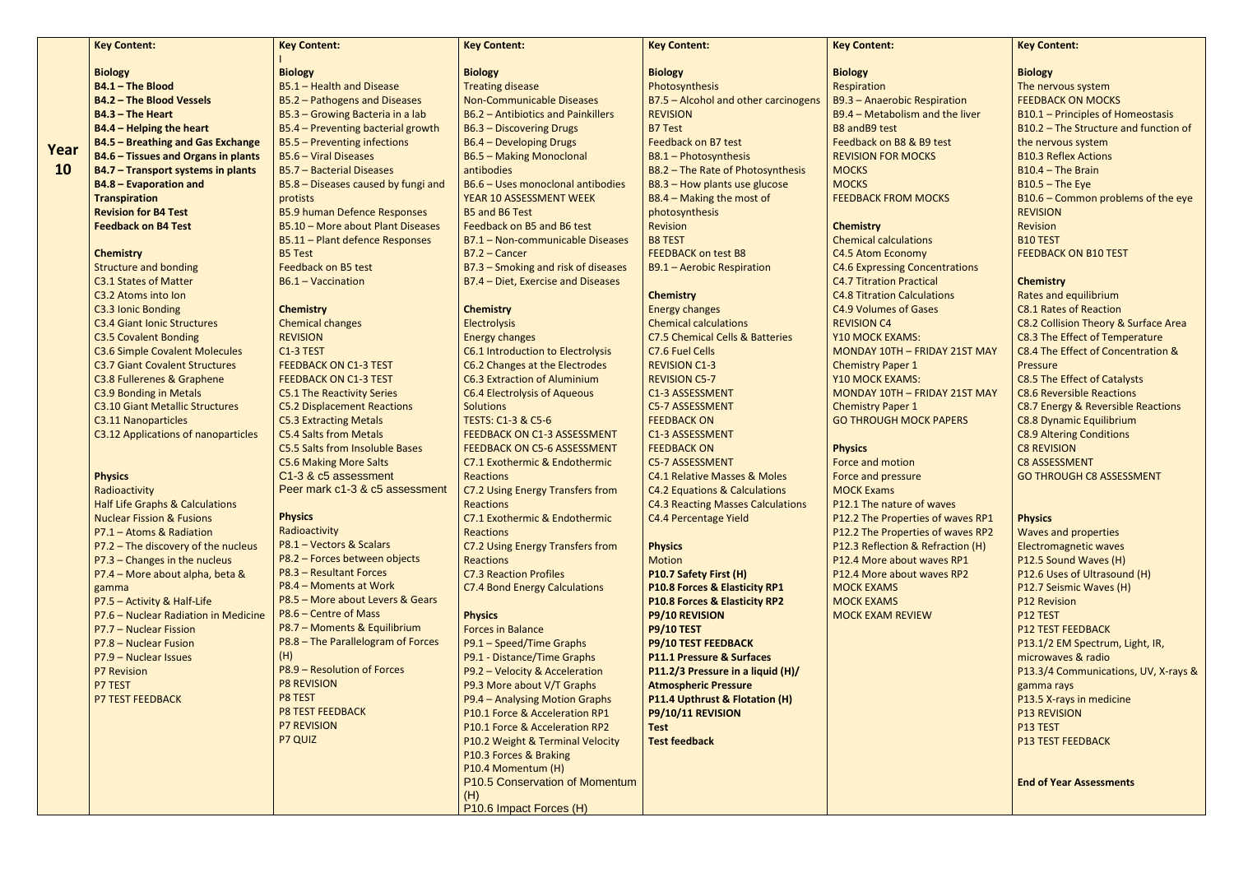|           | <b>Key Content:</b>                        | <b>Key Content:</b>                    | <b>Key Content:</b>                       | <b>Key Content:</b>                      | <b>Key Content:</b>                 |
|-----------|--------------------------------------------|----------------------------------------|-------------------------------------------|------------------------------------------|-------------------------------------|
|           | <b>Biology</b>                             | <b>Biology</b>                         | <b>Biology</b>                            | <b>Biology</b>                           | <b>Biology</b>                      |
|           | B4.1 - The Blood                           | B5.1 - Health and Disease              | <b>Treating disease</b>                   | Photosynthesis                           | Respiration                         |
|           | <b>B4.2 - The Blood Vessels</b>            | B5.2 - Pathogens and Diseases          | <b>Non-Communicable Diseases</b>          | B7.5 - Alcohol and other carcinogens     | <b>B9.3 - Anaerobic Respiration</b> |
|           | <b>B4.3 - The Heart</b>                    | B5.3 - Growing Bacteria in a lab       | <b>B6.2 - Antibiotics and Painkillers</b> | <b>REVISION</b>                          | B9.4 - Metabolism and the liv       |
|           | <b>B4.4 - Helping the heart</b>            | B5.4 - Preventing bacterial growth     | B6.3 - Discovering Drugs                  | <b>B7 Test</b>                           | <b>B8 andB9 test</b>                |
|           | <b>B4.5 - Breathing and Gas Exchange</b>   | B5.5 - Preventing infections           | B6.4 - Developing Drugs                   | Feedback on B7 test                      | Feedback on B8 & B9 test            |
| Year      | <b>B4.6 - Tissues and Organs in plants</b> | B5.6 - Viral Diseases                  | <b>B6.5 - Making Monoclonal</b>           | B8.1 - Photosynthesis                    | <b>REVISION FOR MOCKS</b>           |
| <b>10</b> | B4.7 - Transport systems in plants         | B5.7 - Bacterial Diseases              | antibodies                                | B8.2 - The Rate of Photosynthesis        | <b>MOCKS</b>                        |
|           | <b>B4.8 - Evaporation and</b>              | B5.8 - Diseases caused by fungi and    | B6.6 - Uses monoclonal antibodies         | B8.3 - How plants use glucose            | <b>MOCKS</b>                        |
|           | <b>Transpiration</b>                       | protists                               | YEAR 10 ASSESSMENT WEEK                   | B8.4 - Making the most of                | <b>FEEDBACK FROM MOCKS</b>          |
|           | <b>Revision for B4 Test</b>                | <b>B5.9 human Defence Responses</b>    | <b>B5 and B6 Test</b>                     | photosynthesis                           |                                     |
|           | <b>Feedback on B4 Test</b>                 | B5.10 - More about Plant Diseases      | Feedback on B5 and B6 test                | <b>Revision</b>                          | <b>Chemistry</b>                    |
|           |                                            | B5.11 - Plant defence Responses        | B7.1 - Non-communicable Diseases          | <b>B8 TEST</b>                           | <b>Chemical calculations</b>        |
|           | <b>Chemistry</b>                           | <b>B5 Test</b>                         | $B7.2 - Cancer$                           | <b>FEEDBACK on test B8</b>               | C4.5 Atom Economy                   |
|           | <b>Structure and bonding</b>               | Feedback on B5 test                    | B7.3 - Smoking and risk of diseases       | <b>B9.1 - Aerobic Respiration</b>        | <b>C4.6 Expressing Concentratio</b> |
|           | <b>C3.1 States of Matter</b>               | B6.1 - Vaccination                     | B7.4 - Diet, Exercise and Diseases        |                                          | <b>C4.7 Titration Practical</b>     |
|           | C3.2 Atoms into Ion                        |                                        |                                           | <b>Chemistry</b>                         | <b>C4.8 Titration Calculations</b>  |
|           | C3.3 Ionic Bonding                         | <b>Chemistry</b>                       | <b>Chemistry</b>                          | <b>Energy changes</b>                    | <b>C4.9 Volumes of Gases</b>        |
|           | <b>C3.4 Giant Ionic Structures</b>         | <b>Chemical changes</b>                | <b>Electrolysis</b>                       | <b>Chemical calculations</b>             | <b>REVISION C4</b>                  |
|           | <b>C3.5 Covalent Bonding</b>               | <b>REVISION</b>                        | <b>Energy changes</b>                     | C7.5 Chemical Cells & Batteries          | Y10 MOCK EXAMS:                     |
|           | <b>C3.6 Simple Covalent Molecules</b>      | C1-3 TEST                              | C6.1 Introduction to Electrolysis         | C7.6 Fuel Cells                          | MONDAY 10TH - FRIDAY 21ST           |
|           | <b>C3.7 Giant Covalent Structures</b>      | <b>FEEDBACK ON C1-3 TEST</b>           | C6.2 Changes at the Electrodes            | <b>REVISION C1-3</b>                     | <b>Chemistry Paper 1</b>            |
|           | C3.8 Fullerenes & Graphene                 | <b>FEEDBACK ON C1-3 TEST</b>           | <b>C6.3 Extraction of Aluminium</b>       | <b>REVISION C5-7</b>                     | Y10 MOCK EXAMS:                     |
|           | C3.9 Bonding in Metals                     | <b>C5.1 The Reactivity Series</b>      | <b>C6.4 Electrolysis of Aqueous</b>       | C1-3 ASSESSMENT                          | MONDAY 10TH - FRIDAY 21ST           |
|           | <b>C3.10 Giant Metallic Structures</b>     | <b>C5.2 Displacement Reactions</b>     | <b>Solutions</b>                          | <b>C5-7 ASSESSMENT</b>                   | <b>Chemistry Paper 1</b>            |
|           | <b>C3.11 Nanoparticles</b>                 | <b>C5.3 Extracting Metals</b>          | <b>TESTS: C1-3 &amp; C5-6</b>             | <b>FEEDBACK ON</b>                       | <b>GO THROUGH MOCK PAPERS</b>       |
|           | C3.12 Applications of nanoparticles        | <b>C5.4 Salts from Metals</b>          | FEEDBACK ON C1-3 ASSESSMENT               | C1-3 ASSESSMENT                          |                                     |
|           |                                            | <b>C5.5 Salts from Insoluble Bases</b> | <b>FEEDBACK ON C5-6 ASSESSMENT</b>        | <b>FEEDBACK ON</b>                       | <b>Physics</b>                      |
|           |                                            | <b>C5.6 Making More Salts</b>          | C7.1 Exothermic & Endothermic             | <b>C5-7 ASSESSMENT</b>                   | Force and motion                    |
|           | <b>Physics</b>                             | C1-3 & c5 assessment                   | <b>Reactions</b>                          | C4.1 Relative Masses & Moles             | Force and pressure                  |
|           | Radioactivity                              | Peer mark c1-3 & c5 assessment         | C7.2 Using Energy Transfers from          | <b>C4.2 Equations &amp; Calculations</b> | <b>MOCK Exams</b>                   |
|           | <b>Half Life Graphs &amp; Calculations</b> |                                        | <b>Reactions</b>                          | <b>C4.3 Reacting Masses Calculations</b> | P12.1 The nature of waves           |
|           | <b>Nuclear Fission &amp; Fusions</b>       | <b>Physics</b>                         | C7.1 Exothermic & Endothermic             | C4.4 Percentage Yield                    | P12.2 The Properties of wave        |
|           | P7.1 - Atoms & Radiation                   | Radioactivity                          | <b>Reactions</b>                          |                                          | P12.2 The Properties of wave        |
|           | P7.2 - The discovery of the nucleus        | P8.1 - Vectors & Scalars               | C7.2 Using Energy Transfers from          | <b>Physics</b>                           | P12.3 Reflection & Refraction       |
|           | P7.3 - Changes in the nucleus              | P8.2 - Forces between objects          | <b>Reactions</b>                          | <b>Motion</b>                            | P12.4 More about waves RP1          |
|           | P7.4 - More about alpha, beta &            | P8.3 - Resultant Forces                | <b>C7.3 Reaction Profiles</b>             | P10.7 Safety First (H)                   | P12.4 More about waves RP2          |
|           | gamma                                      | P8.4 - Moments at Work                 | <b>C7.4 Bond Energy Calculations</b>      | P10.8 Forces & Elasticity RP1            | <b>MOCK EXAMS</b>                   |
|           | P7.5 - Activity & Half-Life                | P8.5 - More about Levers & Gears       |                                           | P10.8 Forces & Elasticity RP2            | <b>MOCK EXAMS</b>                   |
|           | P7.6 - Nuclear Radiation in Medicine       | P8.6 - Centre of Mass                  | <b>Physics</b>                            | <b>P9/10 REVISION</b>                    | <b>MOCK EXAM REVIEW</b>             |
|           | P7.7 - Nuclear Fission                     | P8.7 - Moments & Equilibrium           | <b>Forces in Balance</b>                  | <b>P9/10 TEST</b>                        |                                     |
|           | P7.8 - Nuclear Fusion                      | P8.8 - The Parallelogram of Forces     | P9.1 - Speed/Time Graphs                  | P9/10 TEST FEEDBACK                      |                                     |
|           | P7.9 - Nuclear Issues                      | (H)                                    | P9.1 - Distance/Time Graphs               | <b>P11.1 Pressure &amp; Surfaces</b>     |                                     |
|           | P7 Revision                                | P8.9 - Resolution of Forces            | P9.2 - Velocity & Acceleration            | P11.2/3 Pressure in a liquid (H)/        |                                     |
|           | P7 TEST                                    | <b>P8 REVISION</b>                     | P9.3 More about V/T Graphs                | <b>Atmospheric Pressure</b>              |                                     |
|           | <b>P7 TEST FEEDBACK</b>                    | P8 TEST                                | P9.4 - Analysing Motion Graphs            | P11.4 Upthrust & Flotation (H)           |                                     |
|           |                                            | <b>P8 TEST FEEDBACK</b>                | P10.1 Force & Acceleration RP1            | P9/10/11 REVISION                        |                                     |
|           |                                            | <b>P7 REVISION</b>                     | P10.1 Force & Acceleration RP2            | <b>Test</b>                              |                                     |
|           |                                            | P7 QUIZ                                | P10.2 Weight & Terminal Velocity          | <b>Test feedback</b>                     |                                     |
|           |                                            |                                        | P10.3 Forces & Braking                    |                                          |                                     |
|           |                                            |                                        | P10.4 Momentum (H)                        |                                          |                                     |

P10.5 Conservation of Momentum

(H)

P10.6 Impact Forces (H)

**Key Content:** 

## **Chemistry**

## **Physics**

|                              | <b>Key Content:</b>                                   |
|------------------------------|-------------------------------------------------------|
|                              |                                                       |
|                              | <b>Biology</b><br>The nervous system                  |
| piration                     | <b>FEEDBACK ON MOCKS</b>                              |
| ad the liver                 | B10.1 - Principles of Homeostasis                     |
|                              | B10.2 - The Structure and function of                 |
| test                         | the nervous system                                    |
| S                            | <b>B10.3 Reflex Actions</b>                           |
|                              | $B10.4$ – The Brain                                   |
|                              | $B10.5 - The Eye$                                     |
| <b>CKS</b>                   | $B10.6$ – Common problems of the eye                  |
|                              | <b>REVISION</b>                                       |
|                              | <b>Revision</b>                                       |
|                              | <b>B10 TEST</b>                                       |
|                              | <b>FEEDBACK ON B10 TEST</b>                           |
| entrations                   |                                                       |
| al                           | <b>Chemistry</b>                                      |
| tions                        | <b>Rates and equilibrium</b>                          |
| ₿S                           | <b>C8.1 Rates of Reaction</b>                         |
|                              | C8.2 Collision Theory & Surface Area                  |
|                              | C8.3 The Effect of Temperature                        |
| DAY 21ST MAY                 | C8.4 The Effect of Concentration &                    |
|                              | Pressure                                              |
|                              | <b>C8.5 The Effect of Catalysts</b>                   |
| DAY 21ST MAY                 | <b>C8.6 Reversible Reactions</b>                      |
|                              | C8.7 Energy & Reversible Reactions                    |
| <b>PAPERS</b>                | <b>C8.8 Dynamic Equilibrium</b>                       |
|                              | <b>C8.9 Altering Conditions</b>                       |
|                              | <b>C8 REVISION</b>                                    |
|                              | <b>C8 ASSESSMENT</b>                                  |
|                              | <b>GO THROUGH C8 ASSESSMENT</b>                       |
|                              |                                                       |
| vaves                        |                                                       |
| of waves RP1<br>of waves RP2 | <b>Physics</b>                                        |
| efraction (H)                | <b>Waves and properties</b>                           |
| <b>aves RP1</b>              | <b>Electromagnetic waves</b><br>P12.5 Sound Waves (H) |
| <b>aves RP2</b>              | P12.6 Uses of Ultrasound (H)                          |
|                              | P12.7 Seismic Waves (H)                               |
|                              | <b>P12 Revision</b>                                   |
|                              | P12 TEST                                              |
|                              | <b>P12 TEST FEEDBACK</b>                              |
|                              | P13.1/2 EM Spectrum, Light, IR,                       |
|                              | microwaves & radio                                    |
|                              | P13.3/4 Communications, UV, X-rays &                  |
|                              | gamma rays                                            |
|                              | P13.5 X-rays in medicine                              |
|                              | <b>P13 REVISION</b>                                   |
|                              | P13 TEST                                              |
|                              | <b>P13 TEST FEEDBACK</b>                              |
|                              |                                                       |
|                              |                                                       |
|                              | <b>End of Year Assessments</b>                        |
|                              |                                                       |
|                              |                                                       |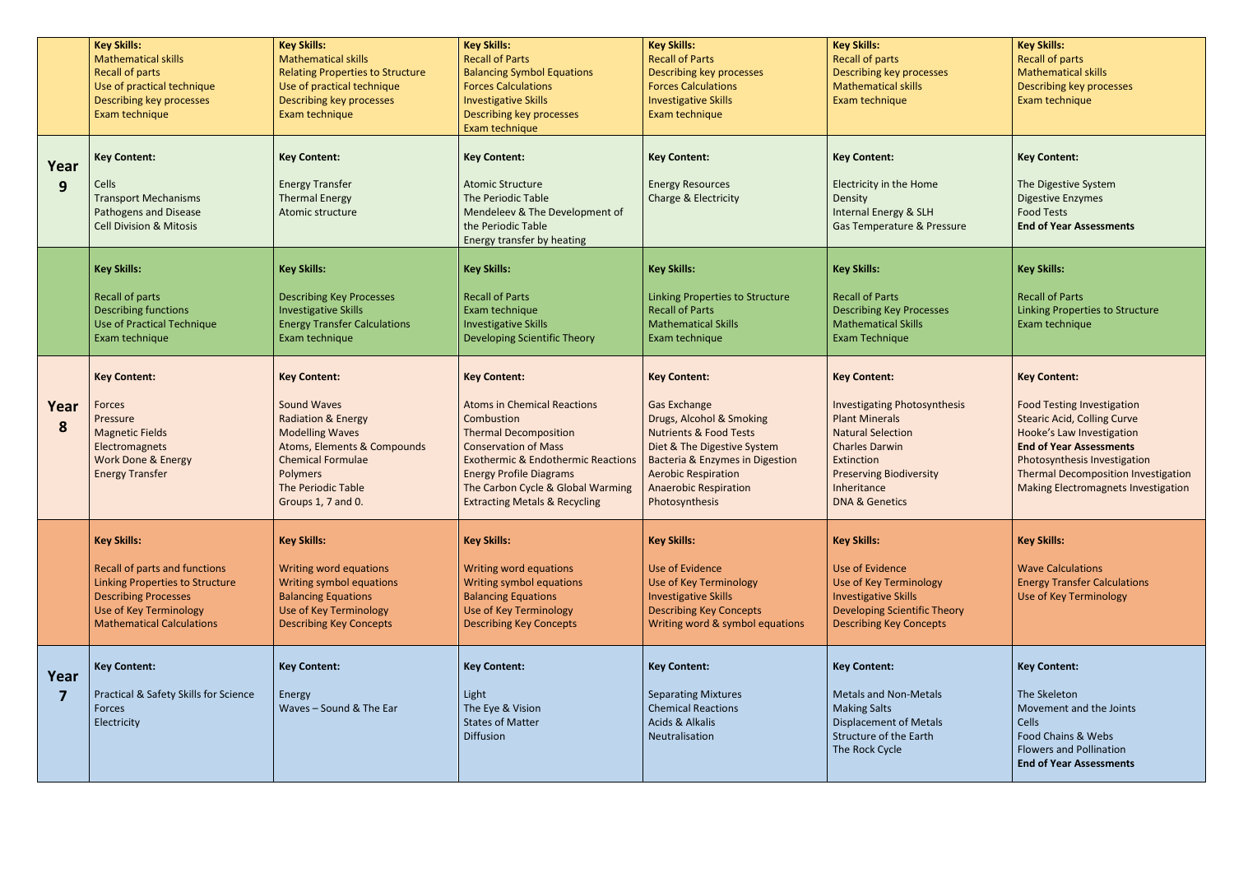|           | <b>Key Skills:</b><br><b>Mathematical skills</b><br><b>Recall of parts</b><br>Use of practical technique<br>Describing key processes<br>Exam technique                              | <b>Key Skills:</b><br><b>Mathematical skills</b><br><b>Relating Properties to Structure</b><br>Use of practical technique<br>Describing key processes<br>Exam technique                                                 | <b>Key Skills:</b><br><b>Recall of Parts</b><br><b>Balancing Symbol Equations</b><br><b>Forces Calculations</b><br><b>Investigative Skills</b><br>Describing key processes<br>Exam technique                                                                                                               | <b>Key Skills:</b><br><b>Recall of Parts</b><br>Describing key processes<br><b>Forces Calculations</b><br><b>Investigative Skills</b><br>Exam technique                                                                                                                  | <b>Key Skills:</b><br><b>Recall of parts</b><br><b>Describing key processes</b><br><b>Mathematical skills</b><br>Exam technique                                                                                                      | <b>Key Skills:</b><br><b>Recall of parts</b><br><b>Mathematical skills</b><br><b>Describing key processes</b><br>Exam technique                                                                                                                                                           |
|-----------|-------------------------------------------------------------------------------------------------------------------------------------------------------------------------------------|-------------------------------------------------------------------------------------------------------------------------------------------------------------------------------------------------------------------------|------------------------------------------------------------------------------------------------------------------------------------------------------------------------------------------------------------------------------------------------------------------------------------------------------------|--------------------------------------------------------------------------------------------------------------------------------------------------------------------------------------------------------------------------------------------------------------------------|--------------------------------------------------------------------------------------------------------------------------------------------------------------------------------------------------------------------------------------|-------------------------------------------------------------------------------------------------------------------------------------------------------------------------------------------------------------------------------------------------------------------------------------------|
| Year<br>9 | <b>Key Content:</b><br>Cells<br><b>Transport Mechanisms</b><br>Pathogens and Disease<br><b>Cell Division &amp; Mitosis</b>                                                          | <b>Key Content:</b><br><b>Energy Transfer</b><br><b>Thermal Energy</b><br>Atomic structure                                                                                                                              | <b>Key Content:</b><br><b>Atomic Structure</b><br>The Periodic Table<br>Mendeleev & The Development of<br>the Periodic Table<br>Energy transfer by heating                                                                                                                                                 | <b>Key Content:</b><br><b>Energy Resources</b><br><b>Charge &amp; Electricity</b>                                                                                                                                                                                        | <b>Key Content:</b><br>Electricity in the Home<br>Density<br><b>Internal Energy &amp; SLH</b><br>Gas Temperature & Pressure                                                                                                          | <b>Key Content:</b><br>The Digestive System<br><b>Digestive Enzymes</b><br><b>Food Tests</b><br><b>End of Year Assessments</b>                                                                                                                                                            |
|           | <b>Key Skills:</b><br>Recall of parts<br><b>Describing functions</b><br>Use of Practical Technique<br>Exam technique                                                                | <b>Key Skills:</b><br><b>Describing Key Processes</b><br><b>Investigative Skills</b><br><b>Energy Transfer Calculations</b><br>Exam technique                                                                           | <b>Key Skills:</b><br><b>Recall of Parts</b><br>Exam technique<br><b>Investigative Skills</b><br>Developing Scientific Theory                                                                                                                                                                              | <b>Key Skills:</b><br>Linking Properties to Structure<br><b>Recall of Parts</b><br><b>Mathematical Skills</b><br>Exam technique                                                                                                                                          | <b>Key Skills:</b><br><b>Recall of Parts</b><br><b>Describing Key Processes</b><br><b>Mathematical Skills</b><br>Exam Technique                                                                                                      | <b>Key Skills:</b><br><b>Recall of Parts</b><br>Linking Properties to Structure<br>Exam technique                                                                                                                                                                                         |
| Year<br>8 | <b>Key Content:</b><br>Forces<br>Pressure<br><b>Magnetic Fields</b><br>Electromagnets<br><b>Work Done &amp; Energy</b><br><b>Energy Transfer</b>                                    | <b>Key Content:</b><br><b>Sound Waves</b><br><b>Radiation &amp; Energy</b><br><b>Modelling Waves</b><br>Atoms, Elements & Compounds<br><b>Chemical Formulae</b><br>Polymers<br>The Periodic Table<br>Groups 1, 7 and 0. | <b>Key Content:</b><br><b>Atoms in Chemical Reactions</b><br>Combustion<br><b>Thermal Decomposition</b><br><b>Conservation of Mass</b><br><b>Exothermic &amp; Endothermic Reactions</b><br><b>Energy Profile Diagrams</b><br>The Carbon Cycle & Global Warming<br><b>Extracting Metals &amp; Recycling</b> | <b>Key Content:</b><br><b>Gas Exchange</b><br>Drugs, Alcohol & Smoking<br><b>Nutrients &amp; Food Tests</b><br>Diet & The Digestive System<br><b>Bacteria &amp; Enzymes in Digestion</b><br><b>Aerobic Respiration</b><br><b>Anaerobic Respiration</b><br>Photosynthesis | <b>Key Content:</b><br><b>Investigating Photosynthesis</b><br><b>Plant Minerals</b><br><b>Natural Selection</b><br><b>Charles Darwin</b><br>Extinction<br><b>Preserving Biodiversity</b><br>Inheritance<br><b>DNA &amp; Genetics</b> | <b>Key Content:</b><br><b>Food Testing Investigation</b><br><b>Stearic Acid, Colling Curve</b><br>Hooke's Law Investigation<br><b>End of Year Assessments</b><br>Photosynthesis Investigation<br><b>Thermal Decomposition Investigation</b><br><b>Making Electromagnets Investigation</b> |
|           | <b>Key Skills:</b><br>Recall of parts and functions<br>Linking Properties to Structure<br><b>Describing Processes</b><br>Use of Key Terminology<br><b>Mathematical Calculations</b> | <b>Key Skills:</b><br>Writing word equations<br>Writing symbol equations<br><b>Balancing Equations</b><br>Use of Key Terminology<br><b>Describing Key Concepts</b>                                                      | <b>Key Skills:</b><br>Writing word equations<br>Writing symbol equations<br><b>Balancing Equations</b><br>Use of Key Terminology<br><b>Describing Key Concepts</b>                                                                                                                                         | <b>Key Skills:</b><br>Use of Evidence<br>Use of Key Terminology<br><b>Investigative Skills</b><br><b>Describing Key Concepts</b><br>Writing word & symbol equations                                                                                                      | <b>Key Skills:</b><br>Use of Evidence<br>Use of Key Terminology<br><b>Investigative Skills</b><br><b>Developing Scientific Theory</b><br><b>Describing Key Concepts</b>                                                              | <b>Key Skills:</b><br><b>Wave Calculations</b><br><b>Energy Transfer Calculations</b><br>Use of Key Terminology                                                                                                                                                                           |
| Year      | <b>Key Content:</b><br>Practical & Safety Skills for Science<br>Forces<br>Electricity                                                                                               | <b>Key Content:</b><br>Energy<br>Waves - Sound & The Ear                                                                                                                                                                | <b>Key Content:</b><br>Light<br>The Eye & Vision<br><b>States of Matter</b><br>Diffusion                                                                                                                                                                                                                   | <b>Key Content:</b><br><b>Separating Mixtures</b><br><b>Chemical Reactions</b><br><b>Acids &amp; Alkalis</b><br>Neutralisation                                                                                                                                           | <b>Key Content:</b><br><b>Metals and Non-Metals</b><br><b>Making Salts</b><br><b>Displacement of Metals</b><br><b>Structure of the Earth</b><br>The Rock Cycle                                                                       | <b>Key Content:</b><br>The Skeleton<br>Movement and the Joints<br>Cells<br>Food Chains & Webs<br><b>Flowers and Pollination</b><br><b>End of Year Assessments</b>                                                                                                                         |